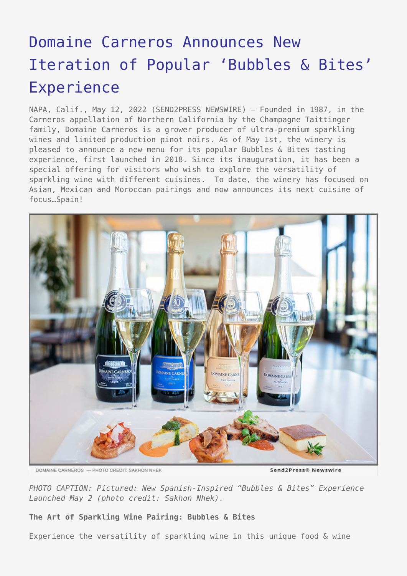# [Domaine Carneros Announces New](https://www.send2press.com/wire/domaine-carneros-announces-new-iteration-of-popular-bubbles-bites-experience/) [Iteration of Popular 'Bubbles & Bites'](https://www.send2press.com/wire/domaine-carneros-announces-new-iteration-of-popular-bubbles-bites-experience/) [Experience](https://www.send2press.com/wire/domaine-carneros-announces-new-iteration-of-popular-bubbles-bites-experience/)

NAPA, Calif., May 12, 2022 (SEND2PRESS NEWSWIRE) — Founded in 1987, in the Carneros appellation of Northern California by the Champagne Taittinger family, Domaine Carneros is a grower producer of ultra-premium sparkling wines and limited production pinot noirs. As of May 1st, the winery is pleased to announce a new menu for its popular Bubbles & Bites tasting experience, first launched in 2018. Since its inauguration, it has been a special offering for visitors who wish to explore the versatility of sparkling wine with different cuisines. To date, the winery has focused on Asian, Mexican and Moroccan pairings and now announces its next cuisine of focus…Spain!



DOMAINE CARNEROS --- PHOTO CREDIT: SAKHON NHEK

Send2Press® Newswire

*PHOTO CAPTION: Pictured: New Spanish-Inspired "Bubbles & Bites" Experience Launched May 2 (photo credit: Sakhon Nhek).*

## **The Art of Sparkling Wine Pairing: Bubbles & Bites**

Experience the versatility of sparkling wine in this unique food & wine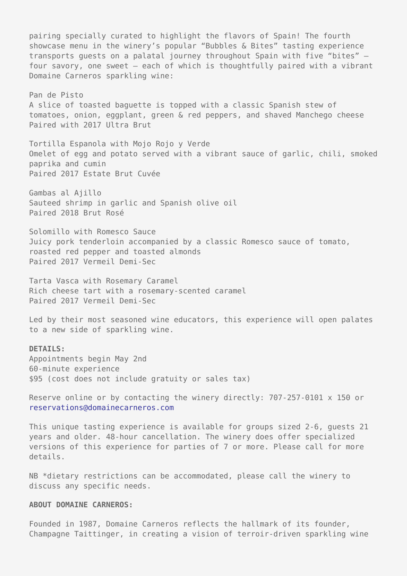pairing specially curated to highlight the flavors of Spain! The fourth showcase menu in the winery's popular "Bubbles & Bites" tasting experience transports guests on a palatal journey throughout Spain with five "bites" – four savory, one sweet – each of which is thoughtfully paired with a vibrant Domaine Carneros sparkling wine:

Pan de Pisto A slice of toasted baguette is topped with a classic Spanish stew of tomatoes, onion, eggplant, green & red peppers, and shaved Manchego cheese Paired with 2017 Ultra Brut

Tortilla Espanola with Mojo Rojo y Verde Omelet of egg and potato served with a vibrant sauce of garlic, chili, smoked paprika and cumin Paired 2017 Estate Brut Cuvée

Gambas al Ajillo Sauteed shrimp in garlic and Spanish olive oil Paired 2018 Brut Rosé

Solomillo with Romesco Sauce Juicy pork tenderloin accompanied by a classic Romesco sauce of tomato, roasted red pepper and toasted almonds Paired 2017 Vermeil Demi-Sec

Tarta Vasca with Rosemary Caramel Rich cheese tart with a rosemary-scented caramel Paired 2017 Vermeil Demi-Sec

Led by their most seasoned wine educators, this experience will open palates to a new side of sparkling wine.

## **DETAILS:**

Appointments begin May 2nd 60-minute experience \$95 (cost does not include gratuity or sales tax)

Reserve online or by contacting the winery directly: 707-257-0101 x 150 or [reservations@domainecarneros.com](mailto:reservations@domainecarneros.com)

This unique tasting experience is available for groups sized 2-6, guests 21 years and older. 48-hour cancellation. The winery does offer specialized versions of this experience for parties of 7 or more. Please call for more details.

NB \*dietary restrictions can be accommodated, please call the winery to discuss any specific needs.

#### **ABOUT DOMAINE CARNEROS:**

Founded in 1987, Domaine Carneros reflects the hallmark of its founder, Champagne Taittinger, in creating a vision of terroir-driven sparkling wine